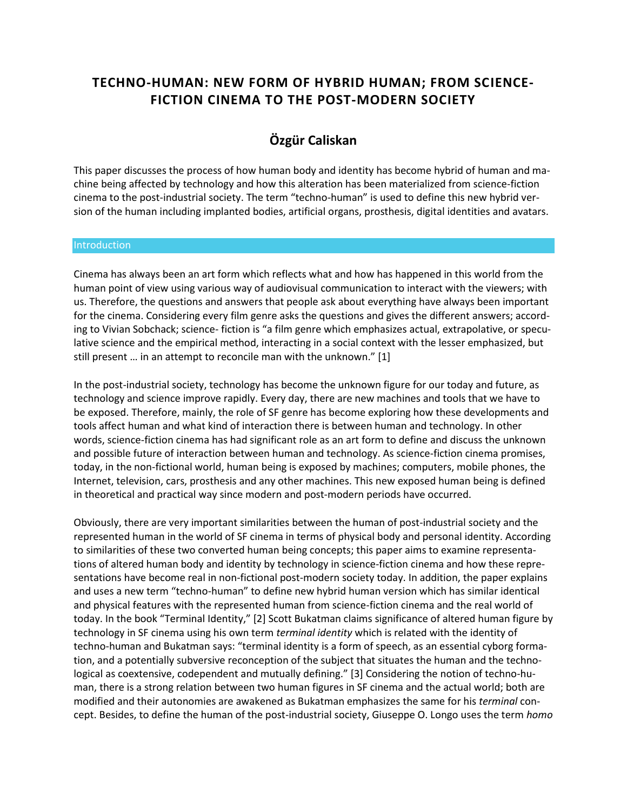# **TECHNO-HUMAN: NEW FORM OF HYBRID HUMAN; FROM SCIENCE-FICTION CINEMA TO THE POST-MODERN SOCIETY**

## **Özgür Caliskan**

This paper discusses the process of how human body and identity has become hybrid of human and machine being affected by technology and how this alteration has been materialized from science-fiction cinema to the post-industrial society. The term "techno-human" is used to define this new hybrid version of the human including implanted bodies, artificial organs, prosthesis, digital identities and avatars.

#### **Introduction**

Cinema has always been an art form which reflects what and how has happened in this world from the human point of view using various way of audiovisual communication to interact with the viewers; with us. Therefore, the questions and answers that people ask about everything have always been important for the cinema. Considering every film genre asks the questions and gives the different answers; according to Vivian Sobchack; science- fiction is "a film genre which emphasizes actual, extrapolative, or speculative science and the empirical method, interacting in a social context with the lesser emphasized, but still present … in an attempt to reconcile man with the unknown." [1]

In the post-industrial society, technology has become the unknown figure for our today and future, as technology and science improve rapidly. Every day, there are new machines and tools that we have to be exposed. Therefore, mainly, the role of SF genre has become exploring how these developments and tools affect human and what kind of interaction there is between human and technology. In other words, science-fiction cinema has had significant role as an art form to define and discuss the unknown and possible future of interaction between human and technology. As science-fiction cinema promises, today, in the non-fictional world, human being is exposed by machines; computers, mobile phones, the Internet, television, cars, prosthesis and any other machines. This new exposed human being is defined in theoretical and practical way since modern and post-modern periods have occurred.

Obviously, there are very important similarities between the human of post-industrial society and the represented human in the world of SF cinema in terms of physical body and personal identity. According to similarities of these two converted human being concepts; this paper aims to examine representations of altered human body and identity by technology in science-fiction cinema and how these representations have become real in non-fictional post-modern society today. In addition, the paper explains and uses a new term "techno-human" to define new hybrid human version which has similar identical and physical features with the represented human from science-fiction cinema and the real world of today. In the book "Terminal Identity," [2] Scott Bukatman claims significance of altered human figure by technology in SF cinema using his own term *terminal identity* which is related with the identity of techno-human and Bukatman says: "terminal identity is a form of speech, as an essential cyborg formation, and a potentially subversive reconception of the subject that situates the human and the technological as coextensive, codependent and mutually defining." [3] Considering the notion of techno-human, there is a strong relation between two human figures in SF cinema and the actual world; both are modified and their autonomies are awakened as Bukatman emphasizes the same for his *terminal* concept. Besides, to define the human of the post-industrial society, Giuseppe O. Longo uses the term *homo*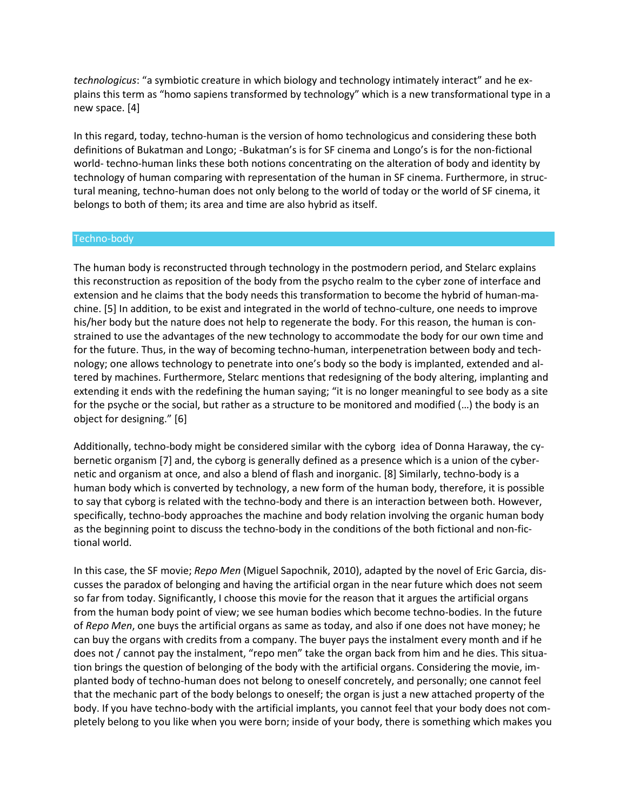*technologicus*: "a symbiotic creature in which biology and technology intimately interact" and he explains this term as "homo sapiens transformed by technology" which is a new transformational type in a new space. [4]

In this regard, today, techno-human is the version of homo technologicus and considering these both definitions of Bukatman and Longo; -Bukatman's is for SF cinema and Longo's is for the non-fictional world- techno-human links these both notions concentrating on the alteration of body and identity by technology of human comparing with representation of the human in SF cinema. Furthermore, in structural meaning, techno-human does not only belong to the world of today or the world of SF cinema, it belongs to both of them; its area and time are also hybrid as itself.

### Techno-body

The human body is reconstructed through technology in the postmodern period, and Stelarc explains this reconstruction as reposition of the body from the psycho realm to the cyber zone of interface and extension and he claims that the body needs this transformation to become the hybrid of human-machine. [5] In addition, to be exist and integrated in the world of techno-culture, one needs to improve his/her body but the nature does not help to regenerate the body. For this reason, the human is constrained to use the advantages of the new technology to accommodate the body for our own time and for the future. Thus, in the way of becoming techno-human, interpenetration between body and technology; one allows technology to penetrate into one's body so the body is implanted, extended and altered by machines. Furthermore, Stelarc mentions that redesigning of the body altering, implanting and extending it ends with the redefining the human saying; "it is no longer meaningful to see body as a site for the psyche or the social, but rather as a structure to be monitored and modified (…) the body is an object for designing." [6]

Additionally, techno-body might be considered similar with the cyborg idea of Donna Haraway, the cybernetic organism [7] and, the cyborg is generally defined as a presence which is a union of the cybernetic and organism at once, and also a blend of flash and inorganic. [8] Similarly, techno-body is a human body which is converted by technology, a new form of the human body, therefore, it is possible to say that cyborg is related with the techno-body and there is an interaction between both. However, specifically, techno-body approaches the machine and body relation involving the organic human body as the beginning point to discuss the techno-body in the conditions of the both fictional and non-fictional world.

In this case, the SF movie; *Repo Men* (Miguel Sapochnik, 2010), adapted by the novel of Eric Garcia, discusses the paradox of belonging and having the artificial organ in the near future which does not seem so far from today. Significantly, I choose this movie for the reason that it argues the artificial organs from the human body point of view; we see human bodies which become techno-bodies. In the future of *Repo Men*, one buys the artificial organs as same as today, and also if one does not have money; he can buy the organs with credits from a company. The buyer pays the instalment every month and if he does not / cannot pay the instalment, "repo men" take the organ back from him and he dies. This situation brings the question of belonging of the body with the artificial organs. Considering the movie, implanted body of techno-human does not belong to oneself concretely, and personally; one cannot feel that the mechanic part of the body belongs to oneself; the organ is just a new attached property of the body. If you have techno-body with the artificial implants, you cannot feel that your body does not completely belong to you like when you were born; inside of your body, there is something which makes you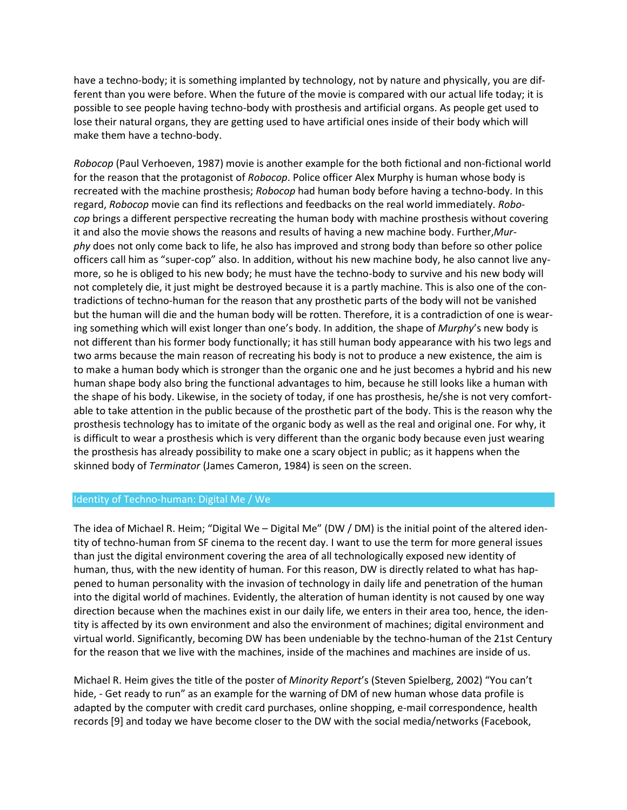have a techno-body; it is something implanted by technology, not by nature and physically, you are different than you were before. When the future of the movie is compared with our actual life today; it is possible to see people having techno-body with prosthesis and artificial organs. As people get used to lose their natural organs, they are getting used to have artificial ones inside of their body which will make them have a techno-body.

*Robocop* (Paul Verhoeven, 1987) movie is another example for the both fictional and non-fictional world for the reason that the protagonist of *Robocop*. Police officer Alex Murphy is human whose body is recreated with the machine prosthesis; *Robocop* had human body before having a techno-body. In this regard, *Robocop* movie can find its reflections and feedbacks on the real world immediately. *Robocop* brings a different perspective recreating the human body with machine prosthesis without covering it and also the movie shows the reasons and results of having a new machine body. Further,*Murphy* does not only come back to life, he also has improved and strong body than before so other police officers call him as "super-cop" also. In addition, without his new machine body, he also cannot live anymore, so he is obliged to his new body; he must have the techno-body to survive and his new body will not completely die, it just might be destroyed because it is a partly machine. This is also one of the contradictions of techno-human for the reason that any prosthetic parts of the body will not be vanished but the human will die and the human body will be rotten. Therefore, it is a contradiction of one is wearing something which will exist longer than one's body. In addition, the shape of *Murphy*'s new body is not different than his former body functionally; it has still human body appearance with his two legs and two arms because the main reason of recreating his body is not to produce a new existence, the aim is to make a human body which is stronger than the organic one and he just becomes a hybrid and his new human shape body also bring the functional advantages to him, because he still looks like a human with the shape of his body. Likewise, in the society of today, if one has prosthesis, he/she is not very comfortable to take attention in the public because of the prosthetic part of the body. This is the reason why the prosthesis technology has to imitate of the organic body as well as the real and original one. For why, it is difficult to wear a prosthesis which is very different than the organic body because even just wearing the prosthesis has already possibility to make one a scary object in public; as it happens when the skinned body of *Terminator* (James Cameron, 1984) is seen on the screen.

### Identity of Techno-human: Digital Me / We

The idea of Michael R. Heim; "Digital We – Digital Me" (DW / DM) is the initial point of the altered identity of techno-human from SF cinema to the recent day. I want to use the term for more general issues than just the digital environment covering the area of all technologically exposed new identity of human, thus, with the new identity of human. For this reason, DW is directly related to what has happened to human personality with the invasion of technology in daily life and penetration of the human into the digital world of machines. Evidently, the alteration of human identity is not caused by one way direction because when the machines exist in our daily life, we enters in their area too, hence, the identity is affected by its own environment and also the environment of machines; digital environment and virtual world. Significantly, becoming DW has been undeniable by the techno-human of the 21st Century for the reason that we live with the machines, inside of the machines and machines are inside of us.

Michael R. Heim gives the title of the poster of *Minority Report*'s (Steven Spielberg, 2002) "You can't hide, - Get ready to run" as an example for the warning of DM of new human whose data profile is adapted by the computer with credit card purchases, online shopping, e-mail correspondence, health records [9] and today we have become closer to the DW with the social media/networks (Facebook,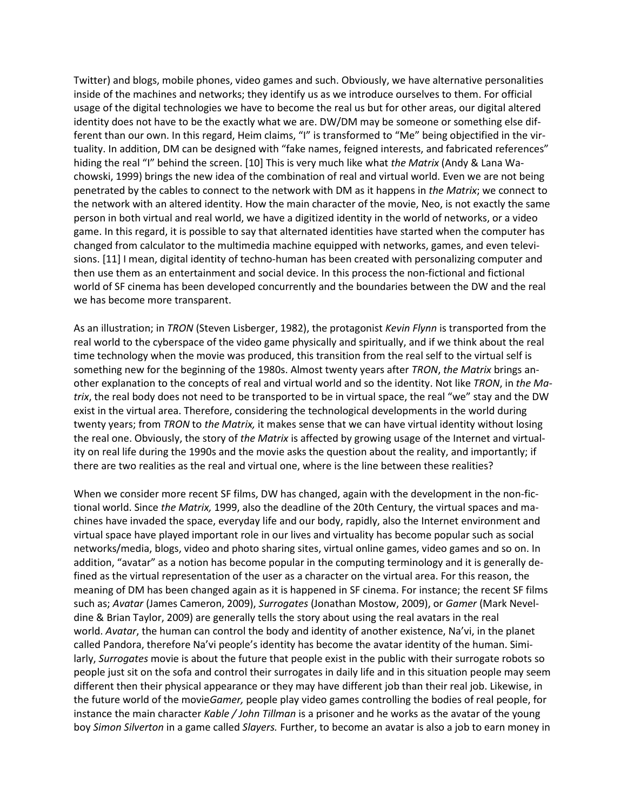Twitter) and blogs, mobile phones, video games and such. Obviously, we have alternative personalities inside of the machines and networks; they identify us as we introduce ourselves to them. For official usage of the digital technologies we have to become the real us but for other areas, our digital altered identity does not have to be the exactly what we are. DW/DM may be someone or something else different than our own. In this regard, Heim claims, "I" is transformed to "Me" being objectified in the virtuality. In addition, DM can be designed with "fake names, feigned interests, and fabricated references" hiding the real "I" behind the screen. [10] This is very much like what *the Matrix* (Andy & Lana Wachowski, 1999) brings the new idea of the combination of real and virtual world. Even we are not being penetrated by the cables to connect to the network with DM as it happens in *the Matrix*; we connect to the network with an altered identity. How the main character of the movie, Neo, is not exactly the same person in both virtual and real world, we have a digitized identity in the world of networks, or a video game. In this regard, it is possible to say that alternated identities have started when the computer has changed from calculator to the multimedia machine equipped with networks, games, and even televisions. [11] I mean, digital identity of techno-human has been created with personalizing computer and then use them as an entertainment and social device. In this process the non-fictional and fictional world of SF cinema has been developed concurrently and the boundaries between the DW and the real we has become more transparent.

As an illustration; in *TRON* (Steven Lisberger, 1982), the protagonist *Kevin Flynn* is transported from the real world to the cyberspace of the video game physically and spiritually, and if we think about the real time technology when the movie was produced, this transition from the real self to the virtual self is something new for the beginning of the 1980s. Almost twenty years after *TRON*, *the Matrix* brings another explanation to the concepts of real and virtual world and so the identity. Not like *TRON*, in *the Matrix*, the real body does not need to be transported to be in virtual space, the real "we" stay and the DW exist in the virtual area. Therefore, considering the technological developments in the world during twenty years; from *TRON* to *the Matrix,* it makes sense that we can have virtual identity without losing the real one. Obviously, the story of *the Matrix* is affected by growing usage of the Internet and virtuality on real life during the 1990s and the movie asks the question about the reality, and importantly; if there are two realities as the real and virtual one, where is the line between these realities?

When we consider more recent SF films, DW has changed, again with the development in the non-fictional world. Since *the Matrix,* 1999, also the deadline of the 20th Century, the virtual spaces and machines have invaded the space, everyday life and our body, rapidly, also the Internet environment and virtual space have played important role in our lives and virtuality has become popular such as social networks/media, blogs, video and photo sharing sites, virtual online games, video games and so on. In addition, "avatar" as a notion has become popular in the computing terminology and it is generally defined as the virtual representation of the user as a character on the virtual area. For this reason, the meaning of DM has been changed again as it is happened in SF cinema. For instance; the recent SF films such as; *Avatar* (James Cameron, 2009), *Surrogates* (Jonathan Mostow, 2009), or *Gamer* (Mark Neveldine & Brian Taylor, 2009) are generally tells the story about using the real avatars in the real world. *Avatar*, the human can control the body and identity of another existence, Na'vi, in the planet called Pandora, therefore Na'vi people's identity has become the avatar identity of the human. Similarly, *Surrogates* movie is about the future that people exist in the public with their surrogate robots so people just sit on the sofa and control their surrogates in daily life and in this situation people may seem different then their physical appearance or they may have different job than their real job. Likewise, in the future world of the movie*Gamer,* people play video games controlling the bodies of real people, for instance the main character *Kable / John Tillman* is a prisoner and he works as the avatar of the young boy *Simon Silverton* in a game called *Slayers.* Further, to become an avatar is also a job to earn money in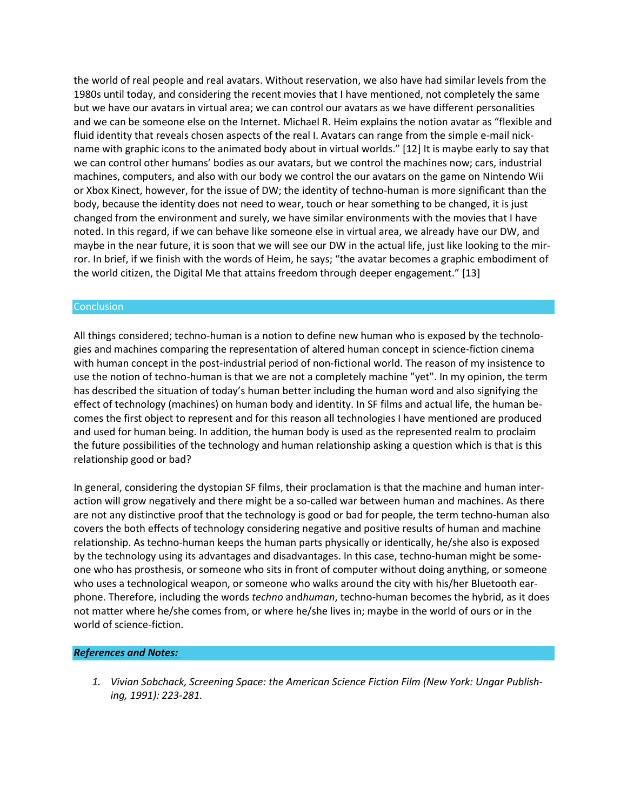the world of real people and real avatars. Without reservation, we also have had similar levels from the 1980s until today, and considering the recent movies that I have mentioned, not completely the same but we have our avatars in virtual area; we can control our avatars as we have different personalities and we can be someone else on the Internet. Michael R. Heim explains the notion avatar as "flexible and fluid identity that reveals chosen aspects of the real I. Avatars can range from the simple e-mail nickname with graphic icons to the animated body about in virtual worlds." [12] It is maybe early to say that we can control other humans' bodies as our avatars, but we control the machines now; cars, industrial machines, computers, and also with our body we control the our avatars on the game on Nintendo Wii or Xbox Kinect, however, for the issue of DW; the identity of techno-human is more significant than the body, because the identity does not need to wear, touch or hear something to be changed, it is just changed from the environment and surely, we have similar environments with the movies that I have noted. In this regard, if we can behave like someone else in virtual area, we already have our DW, and maybe in the near future, it is soon that we will see our DW in the actual life, just like looking to the mirror. In brief, if we finish with the words of Heim, he says; "the avatar becomes a graphic embodiment of the world citizen, the Digital Me that attains freedom through deeper engagement." [13]

### **Conclusion**

All things considered; techno-human is a notion to define new human who is exposed by the technologies and machines comparing the representation of altered human concept in science-fiction cinema with human concept in the post-industrial period of non-fictional world. The reason of my insistence to use the notion of techno-human is that we are not a completely machine "yet". In my opinion, the term has described the situation of today's human better including the human word and also signifying the effect of technology (machines) on human body and identity. In SF films and actual life, the human becomes the first object to represent and for this reason all technologies I have mentioned are produced and used for human being. In addition, the human body is used as the represented realm to proclaim the future possibilities of the technology and human relationship asking a question which is that is this relationship good or bad?

In general, considering the dystopian SF films, their proclamation is that the machine and human interaction will grow negatively and there might be a so-called war between human and machines. As there are not any distinctive proof that the technology is good or bad for people, the term techno-human also covers the both effects of technology considering negative and positive results of human and machine relationship. As techno-human keeps the human parts physically or identically, he/she also is exposed by the technology using its advantages and disadvantages. In this case, techno-human might be someone who has prosthesis, or someone who sits in front of computer without doing anything, or someone who uses a technological weapon, or someone who walks around the city with his/her Bluetooth earphone. Therefore, including the words *techno* and*human*, techno-human becomes the hybrid, as it does not matter where he/she comes from, or where he/she lives in; maybe in the world of ours or in the world of science-fiction.

### *References and Notes:*

*1. Vivian Sobchack, Screening Space: the American Science Fiction Film (New York: Ungar Publishing, 1991): 223-281.*